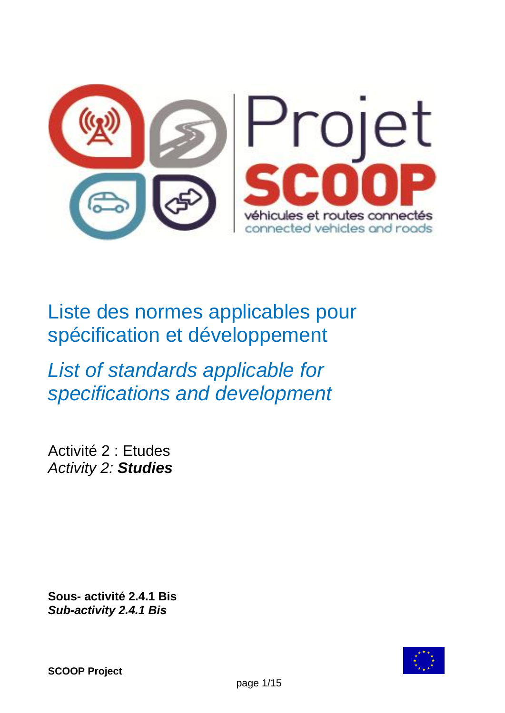

Liste des normes applicables pour spécification et développement

*List of standards applicable for specifications and development*

Activité 2 : Etudes *Activity 2: Studies*

**Sous- activité 2.4.1 Bis** *Sub-activity 2.4.1 Bis*

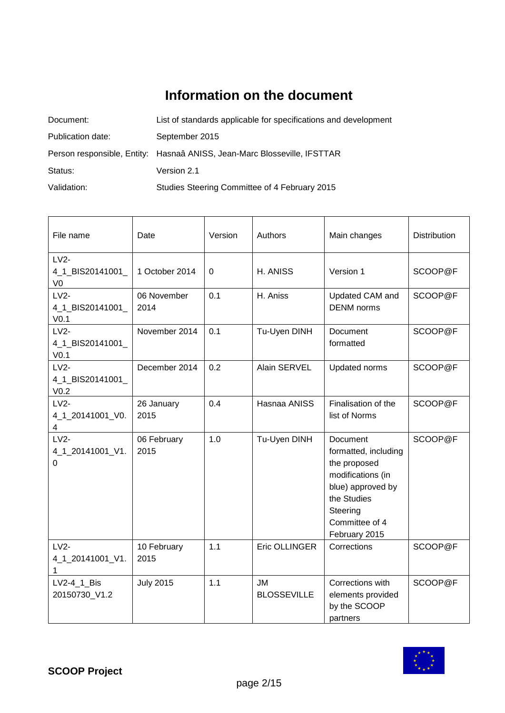# **Information on the document**

| Document:         | List of standards applicable for specifications and development          |
|-------------------|--------------------------------------------------------------------------|
| Publication date: | September 2015                                                           |
|                   | Person responsible, Entity: Hasnaâ ANISS, Jean-Marc Blosseville, IFSTTAR |
| Status:           | Version 2.1                                                              |
| Validation:       | Studies Steering Committee of 4 February 2015                            |

| File name                                      | Date                | Version | Authors                         | Main changes                                                                                                                                             | Distribution |
|------------------------------------------------|---------------------|---------|---------------------------------|----------------------------------------------------------------------------------------------------------------------------------------------------------|--------------|
| $LV2-$<br>4_1_BIS20141001_<br>V <sub>0</sub>   | 1 October 2014      | 0       | H. ANISS                        | Version 1                                                                                                                                                | SCOOP@F      |
| $LV2-$<br>4_1_BIS20141001_<br>V <sub>0.1</sub> | 06 November<br>2014 | 0.1     | H. Aniss                        | Updated CAM and<br><b>DENM</b> norms                                                                                                                     | SCOOP@F      |
| $LV2-$<br>4_1_BIS20141001_<br>V <sub>0.1</sub> | November 2014       | 0.1     | Tu-Uyen DINH                    | Document<br>formatted                                                                                                                                    | SCOOP@F      |
| $LV2-$<br>4_1_BIS20141001_<br>V <sub>0.2</sub> | December 2014       | 0.2     | Alain SERVEL                    | Updated norms                                                                                                                                            | SCOOP@F      |
| $LV2-$<br>4_1_20141001_V0.<br>4                | 26 January<br>2015  | 0.4     | Hasnaa ANISS                    | Finalisation of the<br>list of Norms                                                                                                                     | SCOOP@F      |
| $LV2-$<br>4_1_20141001_V1.<br>0                | 06 February<br>2015 | 1.0     | Tu-Uyen DINH                    | Document<br>formatted, including<br>the proposed<br>modifications (in<br>blue) approved by<br>the Studies<br>Steering<br>Committee of 4<br>February 2015 | SCOOP@F      |
| $LV2-$<br>4_1_20141001_V1.<br>$\mathbf{1}$     | 10 February<br>2015 | 1.1     | Eric OLLINGER                   | Corrections                                                                                                                                              | SCOOP@F      |
| LV2-4_1_Bis<br>20150730_V1.2                   | <b>July 2015</b>    | 1.1     | <b>JM</b><br><b>BLOSSEVILLE</b> | Corrections with<br>elements provided<br>by the SCOOP<br>partners                                                                                        | SCOOP@F      |

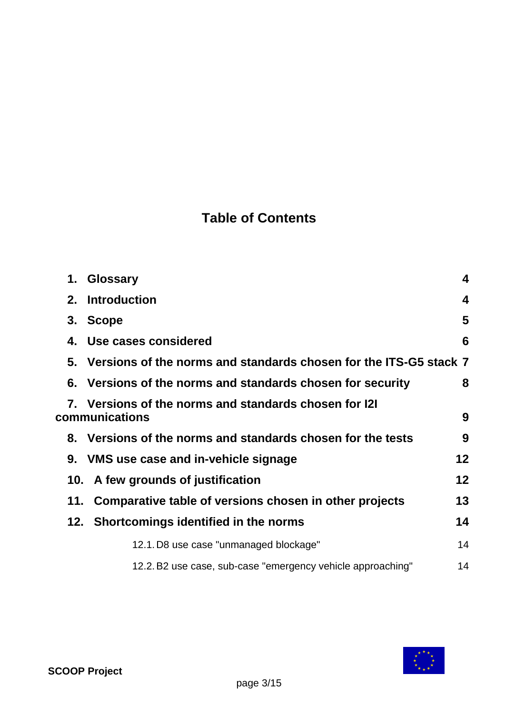# **Table of Contents**

|  | 1. Glossary                                                             | $\overline{\mathbf{4}}$ |
|--|-------------------------------------------------------------------------|-------------------------|
|  | 2. Introduction                                                         | 4                       |
|  | 3. Scope                                                                | 5                       |
|  | 4. Use cases considered                                                 | 6                       |
|  | 5. Versions of the norms and standards chosen for the ITS-G5 stack 7    |                         |
|  | 6. Versions of the norms and standards chosen for security              | 8                       |
|  | 7. Versions of the norms and standards chosen for I2I<br>communications | 9                       |
|  | 8. Versions of the norms and standards chosen for the tests             | 9                       |
|  | 9. VMS use case and in-vehicle signage                                  | 12                      |
|  | 10. A few grounds of justification                                      | 12                      |
|  | 11. Comparative table of versions chosen in other projects              | 13                      |
|  | 12. Shortcomings identified in the norms                                | 14                      |
|  | 12.1. D8 use case "unmanaged blockage"                                  | 14                      |
|  | 12.2. B2 use case, sub-case "emergency vehicle approaching"             | 14                      |
|  |                                                                         |                         |

![](_page_2_Picture_2.jpeg)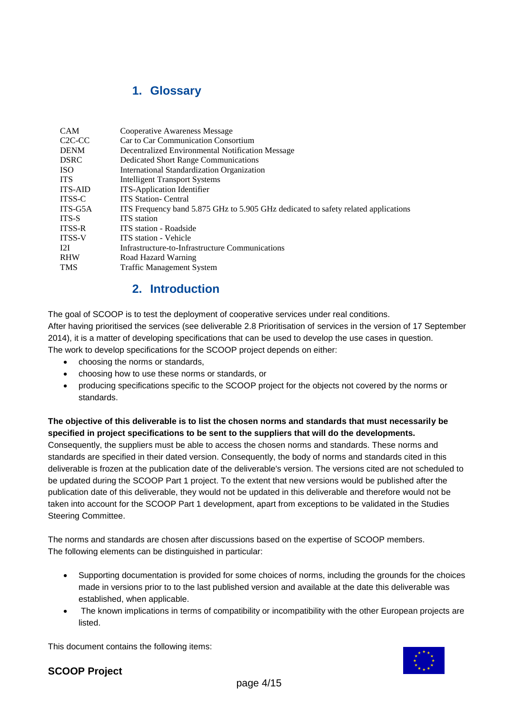### **1. Glossary**

| <b>CAM</b>                      | <b>Cooperative Awareness Message</b>                                               |
|---------------------------------|------------------------------------------------------------------------------------|
| C <sub>2</sub> C <sub>-CC</sub> | Car to Car Communication Consortium                                                |
| <b>DENM</b>                     | Decentralized Environmental Notification Message                                   |
| <b>DSRC</b>                     | <b>Dedicated Short Range Communications</b>                                        |
| <b>ISO</b>                      | International Standardization Organization                                         |
| <b>ITS</b>                      | <b>Intelligent Transport Systems</b>                                               |
| <b>ITS-AID</b>                  | <b>ITS-Application Identifier</b>                                                  |
| <b>ITSS-C</b>                   | <b>ITS Station- Central</b>                                                        |
| ITS-G5A                         | ITS Frequency band 5.875 GHz to 5.905 GHz dedicated to safety related applications |
| ITS-S                           | <b>ITS</b> station                                                                 |
| <b>ITSS-R</b>                   | ITS station - Roadside                                                             |
| <b>ITSS-V</b>                   | <b>ITS</b> station - Vehicle                                                       |
| 12I                             | Infrastructure-to-Infrastructure Communications                                    |
| <b>RHW</b>                      | Road Hazard Warning                                                                |
| <b>TMS</b>                      | <b>Traffic Management System</b>                                                   |
|                                 |                                                                                    |

### **2. Introduction**

The goal of SCOOP is to test the deployment of cooperative services under real conditions. After having prioritised the services (see deliverable 2.8 Prioritisation of services in the version of 17 September 2014), it is a matter of developing specifications that can be used to develop the use cases in question. The work to develop specifications for the SCOOP project depends on either:

- choosing the norms or standards,
- choosing how to use these norms or standards, or
- producing specifications specific to the SCOOP project for the objects not covered by the norms or standards.

### **The objective of this deliverable is to list the chosen norms and standards that must necessarily be specified in project specifications to be sent to the suppliers that will do the developments.**

Consequently, the suppliers must be able to access the chosen norms and standards. These norms and standards are specified in their dated version. Consequently, the body of norms and standards cited in this deliverable is frozen at the publication date of the deliverable's version. The versions cited are not scheduled to be updated during the SCOOP Part 1 project. To the extent that new versions would be published after the publication date of this deliverable, they would not be updated in this deliverable and therefore would not be taken into account for the SCOOP Part 1 development, apart from exceptions to be validated in the Studies Steering Committee.

The norms and standards are chosen after discussions based on the expertise of SCOOP members. The following elements can be distinguished in particular:

- Supporting documentation is provided for some choices of norms, including the grounds for the choices made in versions prior to to the last published version and available at the date this deliverable was established, when applicable.
- The known implications in terms of compatibility or incompatibility with the other European projects are listed.

This document contains the following items:

![](_page_3_Picture_13.jpeg)

### **SCOOP Project**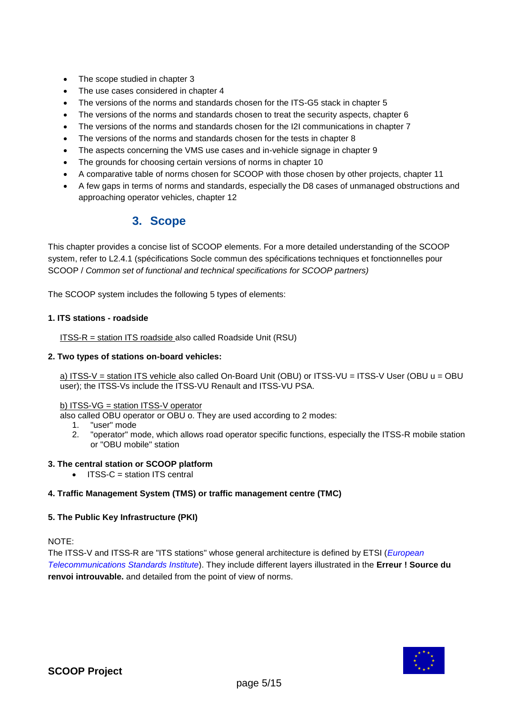- The scope studied in chapter 3
- The use cases considered in chapter 4
- The versions of the norms and standards chosen for the ITS-G5 stack in chapter 5
- The versions of the norms and standards chosen to treat the security aspects, chapter 6
- The versions of the norms and standards chosen for the I2I communications in chapter 7
- The versions of the norms and standards chosen for the tests in chapter 8
- The aspects concerning the VMS use cases and in-vehicle signage in chapter 9
- The grounds for choosing certain versions of norms in chapter 10
- A comparative table of norms chosen for SCOOP with those chosen by other projects, chapter 11
- A few gaps in terms of norms and standards, especially the D8 cases of unmanaged obstructions and approaching operator vehicles, chapter 12

### **3. Scope**

This chapter provides a concise list of SCOOP elements. For a more detailed understanding of the SCOOP system, refer to L2.4.1 (spécifications Socle commun des spécifications techniques et fonctionnelles pour SCOOP / *Common set of functional and technical specifications for SCOOP partners)*

The SCOOP system includes the following 5 types of elements:

#### **1. ITS stations - roadside**

ITSS-R = station ITS roadside also called Roadside Unit (RSU)

#### **2. Two types of stations on-board vehicles:**

a) ITSS-V = station ITS vehicle also called On-Board Unit (OBU) or ITSS-VU = ITSS-V User (OBU u = OBU user); the ITSS-Vs include the ITSS-VU Renault and ITSS-VU PSA.

#### b) ITSS-VG = station ITSS-V operator

- also called OBU operator or OBU o. They are used according to 2 modes:
	- 1. "user" mode
		- 2. "operator" mode, which allows road operator specific functions, especially the ITSS-R mobile station or "OBU mobile" station

#### **3. The central station or SCOOP platform**

ITSS-C = station ITS central

#### **4. Traffic Management System (TMS) or traffic management centre (TMC)**

#### **5. The Public Key Infrastructure (PKI)**

NOTE:

The ITSS-V and ITSS-R are "ITS stations" whose general architecture is defined by ETSI (*European Telecommunications Standards Institute*). They include different layers illustrated in the **Erreur ! Source du renvoi introuvable.** and detailed from the point of view of norms.

![](_page_4_Picture_27.jpeg)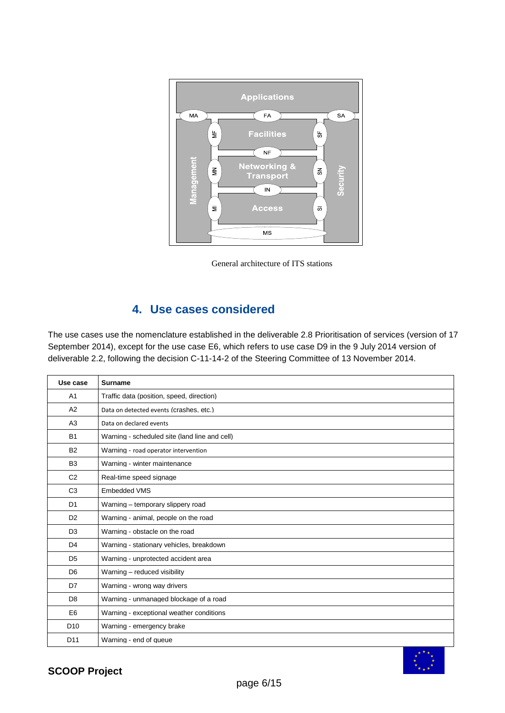![](_page_5_Figure_0.jpeg)

General architecture of ITS stations

### **4. Use cases considered**

The use cases use the nomenclature established in the deliverable 2.8 Prioritisation of services (version of 17 September 2014), except for the use case E6, which refers to use case D9 in the 9 July 2014 version of deliverable 2.2, following the decision C-11-14-2 of the Steering Committee of 13 November 2014.

| Use case        | Surname                                       |
|-----------------|-----------------------------------------------|
| A <sub>1</sub>  | Traffic data (position, speed, direction)     |
| A2              | Data on detected events (crashes, etc.)       |
| A3              | Data on declared events                       |
| <b>B1</b>       | Warning - scheduled site (land line and cell) |
| <b>B2</b>       | Warning - road operator intervention          |
| B <sub>3</sub>  | Warning - winter maintenance                  |
| C <sub>2</sub>  | Real-time speed signage                       |
| C <sub>3</sub>  | <b>Embedded VMS</b>                           |
| D <sub>1</sub>  | Warning - temporary slippery road             |
| D <sub>2</sub>  | Warning - animal, people on the road          |
| D <sub>3</sub>  | Warning - obstacle on the road                |
| D <sub>4</sub>  | Warning - stationary vehicles, breakdown      |
| D <sub>5</sub>  | Warning - unprotected accident area           |
| D <sub>6</sub>  | Warning - reduced visibility                  |
| D7              | Warning - wrong way drivers                   |
| D <sub>8</sub>  | Warning - unmanaged blockage of a road        |
| E <sub>6</sub>  | Warning - exceptional weather conditions      |
| D <sub>10</sub> | Warning - emergency brake                     |
| D <sub>11</sub> | Warning - end of queue                        |

![](_page_5_Picture_5.jpeg)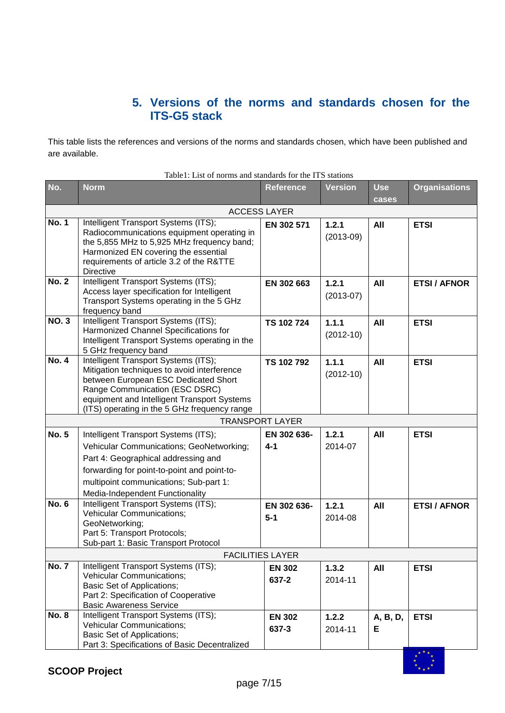### **5. Versions of the norms and standards chosen for the ITS-G5 stack**

This table lists the references and versions of the norms and standards chosen, which have been published and are available.

| No.          | <b>Norm</b>                                                                                                                                                                                                                                                  | <b>Reference</b>        | <b>Version</b>       | <b>Use</b>    | <b>Organisations</b> |
|--------------|--------------------------------------------------------------------------------------------------------------------------------------------------------------------------------------------------------------------------------------------------------------|-------------------------|----------------------|---------------|----------------------|
|              |                                                                                                                                                                                                                                                              | <b>ACCESS LAYER</b>     |                      | cases         |                      |
| <b>No. 1</b> | Intelligent Transport Systems (ITS);<br>Radiocommunications equipment operating in<br>the 5,855 MHz to 5,925 MHz frequency band;<br>Harmonized EN covering the essential<br>requirements of article 3.2 of the R&TTE<br><b>Directive</b>                     | EN 302 571              | 1.2.1<br>$(2013-09)$ | All           | <b>ETSI</b>          |
| <b>No. 2</b> | Intelligent Transport Systems (ITS);<br>Access layer specification for Intelligent<br>Transport Systems operating in the 5 GHz<br>frequency band                                                                                                             | EN 302 663              | 1.2.1<br>$(2013-07)$ | All           | <b>ETSI / AFNOR</b>  |
| <b>NO.3</b>  | Intelligent Transport Systems (ITS);<br>Harmonized Channel Specifications for<br>Intelligent Transport Systems operating in the<br>5 GHz frequency band                                                                                                      | TS 102 724              | 1.1.1<br>$(2012-10)$ | All           | <b>ETSI</b>          |
| <b>No. 4</b> | Intelligent Transport Systems (ITS);<br>Mitigation techniques to avoid interference<br>between European ESC Dedicated Short<br>Range Communication (ESC DSRC)<br>equipment and Intelligent Transport Systems<br>(ITS) operating in the 5 GHz frequency range | TS 102 792              | 1.1.1<br>$(2012-10)$ | All           | <b>ETSI</b>          |
|              |                                                                                                                                                                                                                                                              | <b>TRANSPORT LAYER</b>  |                      |               |                      |
| <b>No. 5</b> | Intelligent Transport Systems (ITS);<br>Vehicular Communications; GeoNetworking;<br>Part 4: Geographical addressing and<br>forwarding for point-to-point and point-to-<br>multipoint communications; Sub-part 1:<br>Media-Independent Functionality          | EN 302 636-<br>$4 - 1$  | 1.2.1<br>2014-07     | All           | <b>ETSI</b>          |
| <b>No. 6</b> | Intelligent Transport Systems (ITS);<br><b>Vehicular Communications;</b><br>GeoNetworking;<br>Part 5: Transport Protocols;<br>Sub-part 1: Basic Transport Protocol                                                                                           | EN 302 636-<br>$5 - 1$  | 1.2.1<br>2014-08     | All           | <b>ETSI / AFNOR</b>  |
|              |                                                                                                                                                                                                                                                              | <b>FACILITIES LAYER</b> |                      |               |                      |
| <b>No. 7</b> | Intelligent Transport Systems (ITS);<br><b>Vehicular Communications;</b><br>Basic Set of Applications;<br>Part 2: Specification of Cooperative<br><b>Basic Awareness Service</b>                                                                             | <b>EN 302</b><br>637-2  | 1.3.2<br>2014-11     | All           | <b>ETSI</b>          |
| <b>No. 8</b> | Intelligent Transport Systems (ITS);<br>Vehicular Communications;<br><b>Basic Set of Applications;</b><br>Part 3: Specifications of Basic Decentralized                                                                                                      | <b>EN 302</b><br>637-3  | 1.2.2<br>2014-11     | A, B, D,<br>Е | <b>ETSI</b>          |

Table1: List of norms and standards for the ITS stations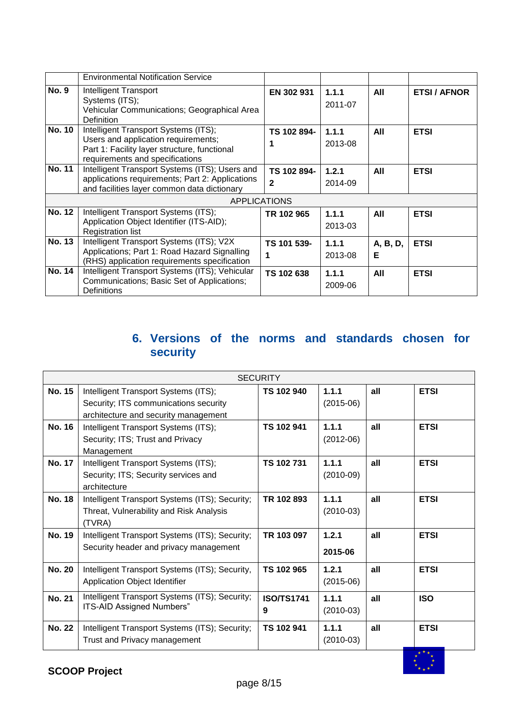|               | <b>Environmental Notification Service</b>                                                                                                                      |                             |                  |               |                     |
|---------------|----------------------------------------------------------------------------------------------------------------------------------------------------------------|-----------------------------|------------------|---------------|---------------------|
| <b>No. 9</b>  | Intelligent Transport<br>Systems (ITS);<br>Vehicular Communications; Geographical Area<br><b>Definition</b>                                                    | EN 302 931                  | 1.1.1<br>2011-07 | All           | <b>ETSI / AFNOR</b> |
| <b>No. 10</b> | Intelligent Transport Systems (ITS);<br>Users and application requirements;<br>Part 1: Facility layer structure, functional<br>requirements and specifications | TS 102 894-                 | 1.1.1<br>2013-08 | All           | <b>ETSI</b>         |
| <b>No. 11</b> | Intelligent Transport Systems (ITS); Users and<br>applications requirements; Part 2: Applications<br>and facilities layer common data dictionary               | TS 102 894-<br>$\mathbf{2}$ | 1.2.1<br>2014-09 | All           | <b>ETSI</b>         |
|               |                                                                                                                                                                | <b>APPLICATIONS</b>         |                  |               |                     |
| <b>No. 12</b> | Intelligent Transport Systems (ITS);<br>Application Object Identifier (ITS-AID);<br><b>Registration list</b>                                                   | TR 102 965                  | 1.1.1<br>2013-03 | All           | <b>ETSI</b>         |
| <b>No. 13</b> | Intelligent Transport Systems (ITS); V2X<br>Applications; Part 1: Road Hazard Signalling<br>(RHS) application requirements specification                       | TS 101 539-<br>1            | 1.1.1<br>2013-08 | A, B, D,<br>Е | <b>ETSI</b>         |
| <b>No. 14</b> | Intelligent Transport Systems (ITS); Vehicular<br>Communications; Basic Set of Applications;<br>Definitions                                                    | TS 102 638                  | 1.1.1<br>2009-06 | All           | <b>ETSI</b>         |

## **6. Versions of the norms and standards chosen for security**

|               | <b>SECURITY</b>                                                                                                       |                        |                      |     |             |  |
|---------------|-----------------------------------------------------------------------------------------------------------------------|------------------------|----------------------|-----|-------------|--|
| No. 15        | Intelligent Transport Systems (ITS);<br>Security; ITS communications security<br>architecture and security management | TS 102 940             | 1.1.1<br>$(2015-06)$ | all | <b>ETSI</b> |  |
| <b>No. 16</b> | Intelligent Transport Systems (ITS);<br>Security; ITS; Trust and Privacy<br>Management                                | TS 102 941             | 1.1.1<br>$(2012-06)$ | all | <b>ETSI</b> |  |
| <b>No. 17</b> | Intelligent Transport Systems (ITS);<br>Security; ITS; Security services and<br>architecture                          | TS 102 731             | 1.1.1<br>$(2010-09)$ | all | <b>ETSI</b> |  |
| <b>No. 18</b> | Intelligent Transport Systems (ITS); Security;<br>Threat, Vulnerability and Risk Analysis<br>(TVRA)                   | TR 102 893             | 1.1.1<br>$(2010-03)$ | all | <b>ETSI</b> |  |
| <b>No. 19</b> | Intelligent Transport Systems (ITS); Security;<br>Security header and privacy management                              | TR 103 097             | 1.2.1<br>2015-06     | all | <b>ETSI</b> |  |
| <b>No. 20</b> | Intelligent Transport Systems (ITS); Security,<br>Application Object Identifier                                       | TS 102 965             | 1.2.1<br>$(2015-06)$ | all | <b>ETSI</b> |  |
| <b>No. 21</b> | Intelligent Transport Systems (ITS); Security;<br>ITS-AID Assigned Numbers"                                           | <b>ISO/TS1741</b><br>9 | 1.1.1<br>$(2010-03)$ | all | <b>ISO</b>  |  |
| <b>No. 22</b> | Intelligent Transport Systems (ITS); Security;<br>Trust and Privacy management                                        | TS 102 941             | 1.1.1<br>$(2010-03)$ | all | <b>ETSI</b> |  |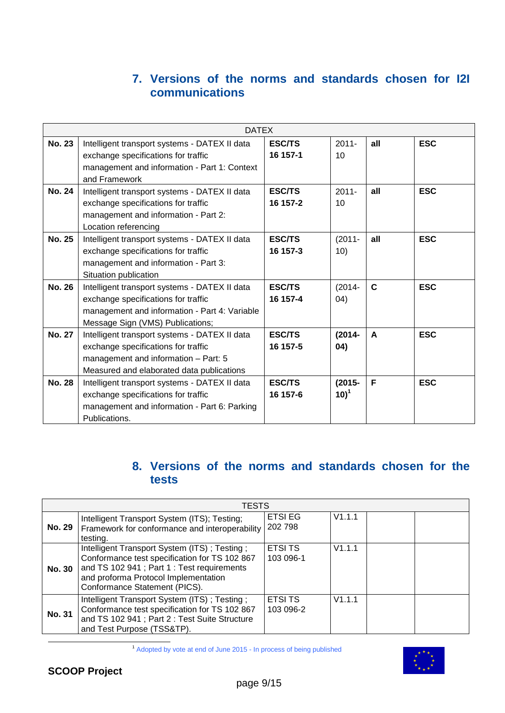### **7. Versions of the norms and standards chosen for I2I communications**

|               | <b>DATEX</b>                                  |               |           |             |            |  |
|---------------|-----------------------------------------------|---------------|-----------|-------------|------------|--|
| <b>No. 23</b> | Intelligent transport systems - DATEX II data | <b>ESC/TS</b> | $2011 -$  | all         | <b>ESC</b> |  |
|               | exchange specifications for traffic           | 16 157-1      | 10        |             |            |  |
|               | management and information - Part 1: Context  |               |           |             |            |  |
|               | and Framework                                 |               |           |             |            |  |
| <b>No. 24</b> | Intelligent transport systems - DATEX II data | <b>ESC/TS</b> | $2011 -$  | all         | <b>ESC</b> |  |
|               | exchange specifications for traffic           | 16 157-2      | 10        |             |            |  |
|               | management and information - Part 2:          |               |           |             |            |  |
|               | Location referencing                          |               |           |             |            |  |
| <b>No. 25</b> | Intelligent transport systems - DATEX II data | <b>ESC/TS</b> | $(2011 -$ | all         | <b>ESC</b> |  |
|               | exchange specifications for traffic           | 16 157-3      | 10)       |             |            |  |
|               | management and information - Part 3:          |               |           |             |            |  |
|               | Situation publication                         |               |           |             |            |  |
| <b>No. 26</b> | Intelligent transport systems - DATEX II data | <b>ESC/TS</b> | $(2014 -$ | $\mathbf C$ | <b>ESC</b> |  |
|               | exchange specifications for traffic           | 16 157-4      | (04)      |             |            |  |
|               | management and information - Part 4: Variable |               |           |             |            |  |
|               | Message Sign (VMS) Publications;              |               |           |             |            |  |
| <b>No. 27</b> | Intelligent transport systems - DATEX II data | <b>ESC/TS</b> | $(2014 -$ | A           | <b>ESC</b> |  |
|               | exchange specifications for traffic           | 16 157-5      | 04)       |             |            |  |
|               | management and information - Part: 5          |               |           |             |            |  |
|               | Measured and elaborated data publications     |               |           |             |            |  |
| <b>No. 28</b> | Intelligent transport systems - DATEX II data | <b>ESC/TS</b> | $(2015 -$ | F           | <b>ESC</b> |  |
|               | exchange specifications for traffic           | 16 157-6      | $10)^1$   |             |            |  |
|               | management and information - Part 6: Parking  |               |           |             |            |  |
|               | Publications.                                 |               |           |             |            |  |

## **8. Versions of the norms and standards chosen for the tests**

|               | TESTS                                                                                                                                                                                                               |                            |        |  |  |  |
|---------------|---------------------------------------------------------------------------------------------------------------------------------------------------------------------------------------------------------------------|----------------------------|--------|--|--|--|
| <b>No. 29</b> | Intelligent Transport System (ITS); Testing;<br>Framework for conformance and interoperability<br>testing.                                                                                                          | <b>ETSI EG</b><br>202 798  | V1.1.1 |  |  |  |
| <b>No. 30</b> | Intelligent Transport System (ITS); Testing;<br>Conformance test specification for TS 102 867<br>and TS 102 941; Part 1: Test requirements<br>and proforma Protocol Implementation<br>Conformance Statement (PICS). | <b>ETSITS</b><br>103 096-1 | V1.1.1 |  |  |  |
| <b>No. 31</b> | Intelligent Transport System (ITS); Testing;<br>Conformance test specification for TS 102 867<br>and TS 102 941 ; Part 2 : Test Suite Structure<br>and Test Purpose (TSS&TP).                                       | <b>ETSITS</b><br>103 096-2 | V1.1.1 |  |  |  |

<sup>1</sup> Adopted by vote at end of June 2015 - In process of being published

![](_page_8_Picture_5.jpeg)

-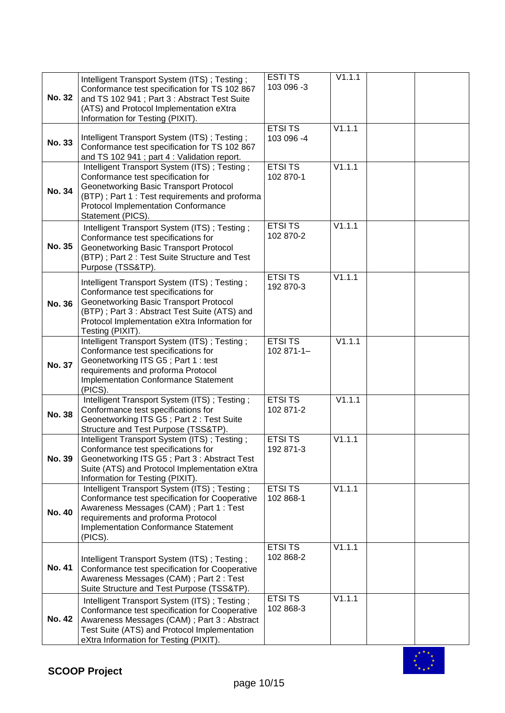| <b>No. 32</b> | Intelligent Transport System (ITS); Testing;<br>Conformance test specification for TS 102 867<br>and TS 102 941; Part 3: Abstract Test Suite<br>(ATS) and Protocol Implementation eXtra<br>Information for Testing (PIXIT).                               | <b>ESTITS</b><br>103 096 -3  | V1.1.1               |  |
|---------------|-----------------------------------------------------------------------------------------------------------------------------------------------------------------------------------------------------------------------------------------------------------|------------------------------|----------------------|--|
| <b>No. 33</b> | Intelligent Transport System (ITS); Testing;<br>Conformance test specification for TS 102 867<br>and TS 102 941; part 4: Validation report.                                                                                                               | <b>ETSITS</b><br>103 096 -4  | V1.1.1               |  |
| No. 34        | Intelligent Transport System (ITS); Testing;<br>Conformance test specification for<br>Geonetworking Basic Transport Protocol<br>(BTP); Part 1 : Test requirements and proforma<br>Protocol Implementation Conformance<br>Statement (PICS).                | <b>ETSI TS</b><br>102 870-1  | V1.1.1               |  |
| No. 35        | Intelligent Transport System (ITS); Testing;<br>Conformance test specifications for<br>Geonetworking Basic Transport Protocol<br>(BTP); Part 2: Test Suite Structure and Test<br>Purpose (TSS&TP).                                                        | <b>ETSI TS</b><br>102 870-2  | V1.1.1               |  |
| <b>No. 36</b> | Intelligent Transport System (ITS); Testing;<br>Conformance test specifications for<br><b>Geonetworking Basic Transport Protocol</b><br>(BTP); Part 3: Abstract Test Suite (ATS) and<br>Protocol Implementation eXtra Information for<br>Testing (PIXIT). | <b>ETSITS</b><br>192 870-3   | $\overline{V}$ 1.1.1 |  |
| <b>No. 37</b> | Intelligent Transport System (ITS); Testing;<br>Conformance test specifications for<br>Geonetworking ITS G5; Part 1: test<br>requirements and proforma Protocol<br><b>Implementation Conformance Statement</b><br>(PICS).                                 | <b>ETSI TS</b><br>102 871-1- | V1.1.1               |  |
| <b>No. 38</b> | Intelligent Transport System (ITS); Testing;<br>Conformance test specifications for<br>Geonetworking ITS G5; Part 2: Test Suite<br>Structure and Test Purpose (TSS&TP).                                                                                   | <b>ETSITS</b><br>102 871-2   | V1.1.1               |  |
| No. 39        | Intelligent Transport System (ITS); Testing;<br>Conformance test specifications for<br>Geonetworking ITS G5; Part 3: Abstract Test<br>Suite (ATS) and Protocol Implementation eXtra<br>Information for Testing (PIXIT).                                   | <b>ETSITS</b><br>192 871-3   | V1.1.1               |  |
| <b>No. 40</b> | Intelligent Transport System (ITS); Testing;<br>Conformance test specification for Cooperative<br>Awareness Messages (CAM) ; Part 1 : Test<br>requirements and proforma Protocol<br><b>Implementation Conformance Statement</b><br>(PICS).                | <b>ETSITS</b><br>102 868-1   | V1.1.1               |  |
| No. 41        | Intelligent Transport System (ITS); Testing;<br>Conformance test specification for Cooperative<br>Awareness Messages (CAM); Part 2: Test<br>Suite Structure and Test Purpose (TSS&TP).                                                                    | <b>ETSITS</b><br>102 868-2   | V1.1.1               |  |
| <b>No. 42</b> | Intelligent Transport System (ITS); Testing;<br>Conformance test specification for Cooperative<br>Awareness Messages (CAM); Part 3: Abstract<br>Test Suite (ATS) and Protocol Implementation<br>eXtra Information for Testing (PIXIT).                    | <b>ETSITS</b><br>102 868-3   | V1.1.1               |  |

![](_page_9_Picture_1.jpeg)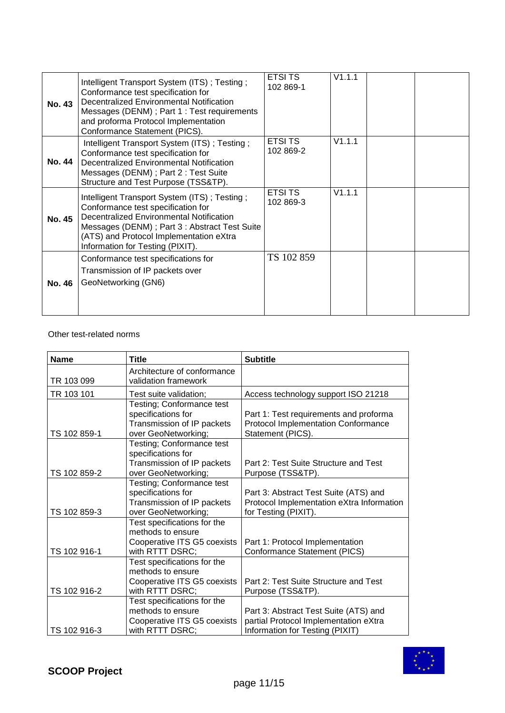| <b>No. 43</b> | Intelligent Transport System (ITS); Testing;<br>Conformance test specification for<br>Decentralized Environmental Notification<br>Messages (DENM); Part 1 : Test requirements<br>and proforma Protocol Implementation<br>Conformance Statement (PICS).         | <b>ETSI TS</b><br>102 869-1 | V1.1.1 |  |
|---------------|----------------------------------------------------------------------------------------------------------------------------------------------------------------------------------------------------------------------------------------------------------------|-----------------------------|--------|--|
| <b>No. 44</b> | Intelligent Transport System (ITS); Testing;<br>Conformance test specification for<br>Decentralized Environmental Notification<br>Messages (DENM); Part 2 : Test Suite<br>Structure and Test Purpose (TSS&TP).                                                 | <b>ETSITS</b><br>102 869-2  | V1.1.1 |  |
| <b>No. 45</b> | Intelligent Transport System (ITS); Testing;<br>Conformance test specification for<br>Decentralized Environmental Notification<br>Messages (DENM); Part 3 : Abstract Test Suite<br>(ATS) and Protocol Implementation eXtra<br>Information for Testing (PIXIT). | <b>ETSI TS</b><br>102 869-3 | V1.1.1 |  |
| <b>No. 46</b> | Conformance test specifications for<br>Transmission of IP packets over<br>GeoNetworking (GN6)                                                                                                                                                                  | TS 102 859                  |        |  |

### Other test-related norms

| <b>Name</b>  | <b>Title</b>                | <b>Subtitle</b>                            |  |  |
|--------------|-----------------------------|--------------------------------------------|--|--|
|              | Architecture of conformance |                                            |  |  |
| TR 103 099   | validation framework        |                                            |  |  |
| TR 103 101   | Test suite validation;      | Access technology support ISO 21218        |  |  |
|              | Testing; Conformance test   |                                            |  |  |
|              | specifications for          | Part 1: Test requirements and proforma     |  |  |
|              | Transmission of IP packets  | <b>Protocol Implementation Conformance</b> |  |  |
| TS 102 859-1 | over GeoNetworking;         | Statement (PICS).                          |  |  |
|              | Testing; Conformance test   |                                            |  |  |
|              | specifications for          |                                            |  |  |
|              | Transmission of IP packets  | Part 2: Test Suite Structure and Test      |  |  |
| TS 102 859-2 | over GeoNetworking;         | Purpose (TSS&TP).                          |  |  |
|              | Testing; Conformance test   |                                            |  |  |
|              | specifications for          | Part 3: Abstract Test Suite (ATS) and      |  |  |
|              | Transmission of IP packets  | Protocol Implementation eXtra Information  |  |  |
| TS 102 859-3 | over GeoNetworking;         | for Testing (PIXIT).                       |  |  |
|              | Test specifications for the |                                            |  |  |
|              | methods to ensure           |                                            |  |  |
|              | Cooperative ITS G5 coexists | Part 1: Protocol Implementation            |  |  |
| TS 102 916-1 | with RTTT DSRC;             | Conformance Statement (PICS)               |  |  |
|              | Test specifications for the |                                            |  |  |
|              | methods to ensure           |                                            |  |  |
|              | Cooperative ITS G5 coexists | Part 2: Test Suite Structure and Test      |  |  |
| TS 102 916-2 | with RTTT DSRC;             | Purpose (TSS&TP).                          |  |  |
|              | Test specifications for the |                                            |  |  |
|              | methods to ensure           | Part 3: Abstract Test Suite (ATS) and      |  |  |
|              | Cooperative ITS G5 coexists | partial Protocol Implementation eXtra      |  |  |
| TS 102 916-3 | with RTTT DSRC;             | Information for Testing (PIXIT)            |  |  |

![](_page_10_Picture_3.jpeg)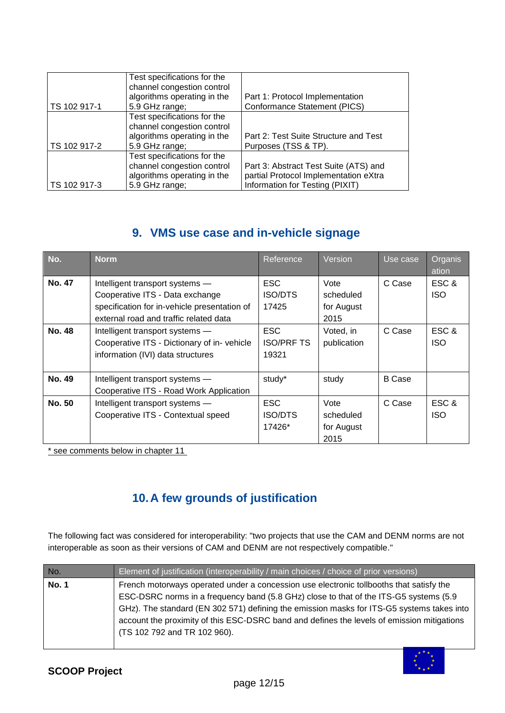| TS 102 917-1 | Test specifications for the<br>channel congestion control<br>algorithms operating in the<br>5.9 GHz range; | Part 1: Protocol Implementation<br><b>Conformance Statement (PICS)</b>                                            |
|--------------|------------------------------------------------------------------------------------------------------------|-------------------------------------------------------------------------------------------------------------------|
| TS 102 917-2 | Test specifications for the<br>channel congestion control<br>algorithms operating in the<br>5.9 GHz range; | Part 2: Test Suite Structure and Test<br>Purposes (TSS & TP).                                                     |
| TS 102 917-3 | Test specifications for the<br>channel congestion control<br>algorithms operating in the<br>5.9 GHz range; | Part 3: Abstract Test Suite (ATS) and<br>partial Protocol Implementation eXtra<br>Information for Testing (PIXIT) |

## **9. VMS use case and in-vehicle signage**

| No.           | <b>Norm</b>                                                                                                        | Reference                                | Version                                 | Use case      | Organis<br>ation    |
|---------------|--------------------------------------------------------------------------------------------------------------------|------------------------------------------|-----------------------------------------|---------------|---------------------|
| <b>No. 47</b> | Intelligent transport systems -<br>Cooperative ITS - Data exchange                                                 | <b>ESC</b><br><b>ISO/DTS</b>             | Vote<br>scheduled                       | C Case        | ESC &<br><b>ISO</b> |
|               | specification for in-vehicle presentation of<br>external road and traffic related data                             | 17425                                    | for August<br>2015                      |               |                     |
| <b>No. 48</b> | Intelligent transport systems -<br>Cooperative ITS - Dictionary of in-vehicle<br>information (IVI) data structures | <b>ESC</b><br><b>ISO/PRF TS</b><br>19321 | Voted, in<br>publication                | C Case        | ESC &<br><b>ISO</b> |
| No. 49        | Intelligent transport systems -<br>Cooperative ITS - Road Work Application                                         | study*                                   | study                                   | <b>B</b> Case |                     |
| No. 50        | Intelligent transport systems -<br>Cooperative ITS - Contextual speed                                              | <b>ESC</b><br><b>ISO/DTS</b><br>17426*   | Vote<br>scheduled<br>for August<br>2015 | C Case        | ESC &<br><b>ISO</b> |

\* see comments below in chapter 11

# **10.A few grounds of justification**

The following fact was considered for interoperability: "two projects that use the CAM and DENM norms are not interoperable as soon as their versions of CAM and DENM are not respectively compatible."

| No.          | Element of justification (interoperability / main choices / choice of prior versions)                                                                                                                                                                                                                                                                                                                       |
|--------------|-------------------------------------------------------------------------------------------------------------------------------------------------------------------------------------------------------------------------------------------------------------------------------------------------------------------------------------------------------------------------------------------------------------|
| <b>No. 1</b> | French motorways operated under a concession use electronic tollbooths that satisfy the<br>ESC-DSRC norms in a frequency band (5.8 GHz) close to that of the ITS-G5 systems (5.9<br>GHz). The standard (EN 302 571) defining the emission masks for ITS-G5 systems takes into<br>account the proximity of this ESC-DSRC band and defines the levels of emission mitigations<br>(TS 102 792 and TR 102 960). |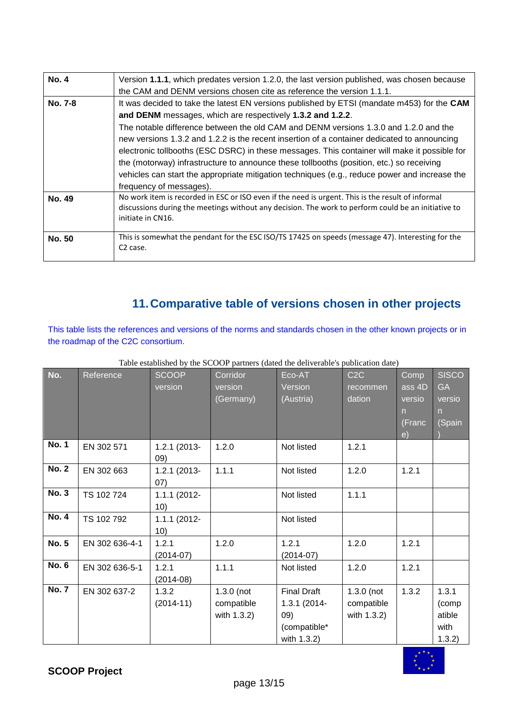| <b>No. 4</b>  | Version 1.1.1, which predates version 1.2.0, the last version published, was chosen because                                                                                                                                   |
|---------------|-------------------------------------------------------------------------------------------------------------------------------------------------------------------------------------------------------------------------------|
|               | the CAM and DENM versions chosen cite as reference the version 1.1.1.                                                                                                                                                         |
| No. 7-8       | It was decided to take the latest EN versions published by ETSI (mandate m453) for the CAM                                                                                                                                    |
|               | and DENM messages, which are respectively 1.3.2 and 1.2.2.                                                                                                                                                                    |
|               | The notable difference between the old CAM and DENM versions 1.3.0 and 1.2.0 and the                                                                                                                                          |
|               | new versions 1.3.2 and 1.2.2 is the recent insertion of a container dedicated to announcing                                                                                                                                   |
|               | electronic tollbooths (ESC DSRC) in these messages. This container will make it possible for                                                                                                                                  |
|               | the (motorway) infrastructure to announce these tollbooths (position, etc.) so receiving                                                                                                                                      |
|               | vehicles can start the appropriate mitigation techniques (e.g., reduce power and increase the                                                                                                                                 |
|               | frequency of messages).                                                                                                                                                                                                       |
| <b>No. 49</b> | No work item is recorded in ESC or ISO even if the need is urgent. This is the result of informal<br>discussions during the meetings without any decision. The work to perform could be an initiative to<br>initiate in CN16. |
| <b>No. 50</b> | This is somewhat the pendant for the ESC ISO/TS 17425 on speeds (message 47). Interesting for the<br>C <sub>2</sub> case.                                                                                                     |

# **11.Comparative table of versions chosen in other projects**

This table lists the references and versions of the norms and standards chosen in the other known projects or in the roadmap of the C2C consortium.

| No.          | Reference      | <b>SCOOP</b><br>version | Corridor<br>version<br>(Germany)          | Eco-AT<br>Version<br>(Austria)                                           | C2C<br>recommen<br>dation                 | Comp<br>ass 4D<br>versio<br>n.<br>(Franc<br>e) | <b>SISCO</b><br><b>GA</b><br>versio<br>$\mathsf{n}$<br>(Spain |
|--------------|----------------|-------------------------|-------------------------------------------|--------------------------------------------------------------------------|-------------------------------------------|------------------------------------------------|---------------------------------------------------------------|
| <b>No. 1</b> | EN 302 571     | 1.2.1 (2013-<br>(09)    | 1.2.0                                     | Not listed                                                               | 1.2.1                                     |                                                |                                                               |
| <b>No. 2</b> | EN 302 663     | 1.2.1 (2013-<br>(07)    | 1.1.1                                     | Not listed                                                               | 1.2.0                                     | 1.2.1                                          |                                                               |
| <b>No. 3</b> | TS 102 724     | 1.1.1 (2012-<br>10)     |                                           | Not listed                                                               | 1.1.1                                     |                                                |                                                               |
| <b>No. 4</b> | TS 102 792     | 1.1.1 (2012-<br>10)     |                                           | Not listed                                                               |                                           |                                                |                                                               |
| <b>No. 5</b> | EN 302 636-4-1 | 1.2.1<br>$(2014-07)$    | 1.2.0                                     | 1.2.1<br>$(2014-07)$                                                     | 1.2.0                                     | 1.2.1                                          |                                                               |
| <b>No. 6</b> | EN 302 636-5-1 | 1.2.1<br>$(2014-08)$    | 1.1.1                                     | Not listed                                                               | 1.2.0                                     | 1.2.1                                          |                                                               |
| <b>No. 7</b> | EN 302 637-2   | 1.3.2<br>$(2014-11)$    | $1.3.0$ (not<br>compatible<br>with 1.3.2) | <b>Final Draft</b><br>1.3.1 (2014-<br>09)<br>(compatible*<br>with 1.3.2) | $1.3.0$ (not<br>compatible<br>with 1.3.2) | 1.3.2                                          | 1.3.1<br>(comp<br>atible<br>with<br>1.3.2)                    |

#### Table established by the SCOOP partners (dated the deliverable's publication date)

![](_page_12_Picture_5.jpeg)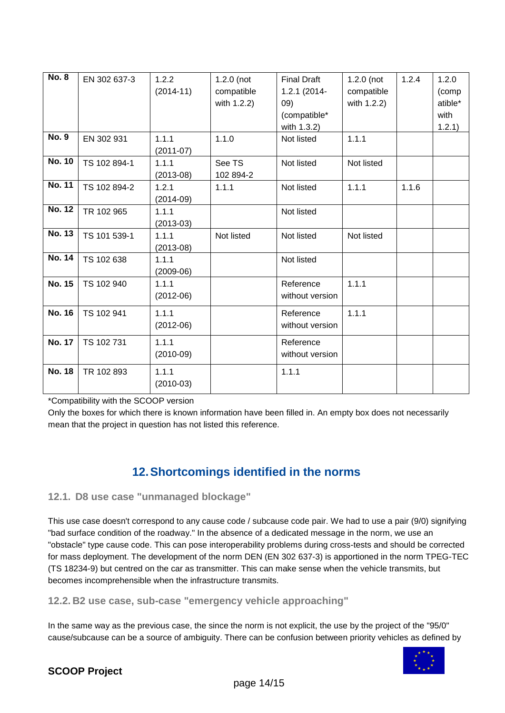| <b>No. 8</b>  | EN 302 637-3 | 1.2.2<br>$(2014 - 11)$ | $1.2.0$ (not<br>compatible<br>with 1.2.2) | <b>Final Draft</b><br>1.2.1 (2014-<br>09)<br>(compatible* | $1.2.0$ (not<br>compatible<br>with 1.2.2) | 1.2.4 | 1.2.0<br>(comp<br>atible*<br>with |
|---------------|--------------|------------------------|-------------------------------------------|-----------------------------------------------------------|-------------------------------------------|-------|-----------------------------------|
| <b>No. 9</b>  |              |                        |                                           | with 1.3.2)                                               |                                           |       | 1.2.1)                            |
|               | EN 302 931   | 1.1.1<br>$(2011-07)$   | 1.1.0                                     | Not listed                                                | 1.1.1                                     |       |                                   |
| <b>No. 10</b> | TS 102 894-1 | 1.1.1<br>$(2013-08)$   | See TS<br>102 894-2                       | Not listed                                                | Not listed                                |       |                                   |
| <b>No. 11</b> | TS 102 894-2 | 1.2.1<br>$(2014-09)$   | 1.1.1                                     | Not listed                                                | 1.1.1                                     | 1.1.6 |                                   |
| <b>No. 12</b> | TR 102 965   | 1.1.1<br>$(2013-03)$   |                                           | Not listed                                                |                                           |       |                                   |
| <b>No. 13</b> | TS 101 539-1 | 1.1.1<br>$(2013-08)$   | Not listed                                | Not listed                                                | Not listed                                |       |                                   |
| <b>No. 14</b> | TS 102 638   | 1.1.1<br>$(2009-06)$   |                                           | Not listed                                                |                                           |       |                                   |
| <b>No. 15</b> | TS 102 940   | 1.1.1<br>$(2012-06)$   |                                           | Reference<br>without version                              | 1.1.1                                     |       |                                   |
| <b>No. 16</b> | TS 102 941   | 1.1.1<br>$(2012-06)$   |                                           | Reference<br>without version                              | 1.1.1                                     |       |                                   |
| <b>No. 17</b> | TS 102 731   | 1.1.1<br>$(2010-09)$   |                                           | Reference<br>without version                              |                                           |       |                                   |
| <b>No. 18</b> | TR 102 893   | 1.1.1<br>$(2010-03)$   |                                           | 1.1.1                                                     |                                           |       |                                   |

\*Compatibility with the SCOOP version

Only the boxes for which there is known information have been filled in. An empty box does not necessarily mean that the project in question has not listed this reference.

### **12.Shortcomings identified in the norms**

### **12.1. D8 use case "unmanaged blockage"**

This use case doesn't correspond to any cause code / subcause code pair. We had to use a pair (9/0) signifying "bad surface condition of the roadway." In the absence of a dedicated message in the norm, we use an "obstacle" type cause code. This can pose interoperability problems during cross-tests and should be corrected for mass deployment. The development of the norm DEN (EN 302 637-3) is apportioned in the norm TPEG-TEC (TS 18234-9) but centred on the car as transmitter. This can make sense when the vehicle transmits, but becomes incomprehensible when the infrastructure transmits.

**12.2. B2 use case, sub-case "emergency vehicle approaching"** 

In the same way as the previous case, the since the norm is not explicit, the use by the project of the "95/0" cause/subcause can be a source of ambiguity. There can be confusion between priority vehicles as defined by

![](_page_13_Picture_8.jpeg)